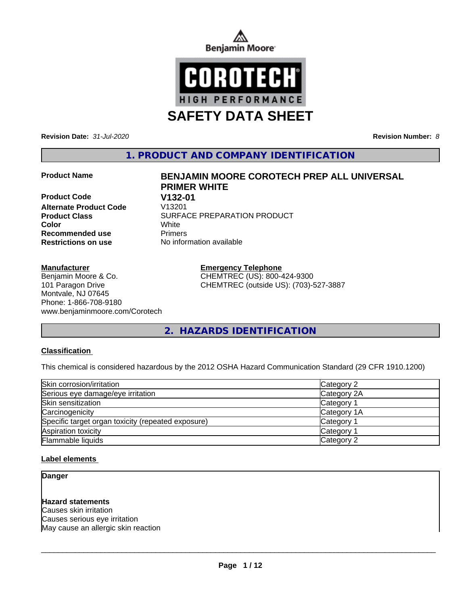



**Revision Date:** *31-Jul-2020* **Revision Number:** *8*

**1. PRODUCT AND COMPANY IDENTIFICATION**

**Product Code V132-01 Alternate Product Code Recommended use** Primers **Restrictions on use** No information available

#### **Manufacturer**

Benjamin Moore & Co. 101 Paragon Drive Montvale, NJ 07645 Phone: 1-866-708-9180 www.benjaminmoore.com/Corotech

# **Product Name BENJAMIN MOORE COROTECH PREP ALL UNIVERSAL PRIMER WHITE Product Class SURFACE PREPARATION PRODUCT Color** White

**Emergency Telephone** CHEMTREC (US): 800-424-9300 CHEMTREC (outside US): (703)-527-3887

**2. HAZARDS IDENTIFICATION**

#### **Classification**

This chemical is considered hazardous by the 2012 OSHA Hazard Communication Standard (29 CFR 1910.1200)

| Skin corrosion/irritation                          | Category 2            |
|----------------------------------------------------|-----------------------|
| Serious eye damage/eye irritation                  | Category 2A           |
| Skin sensitization                                 | Category 1            |
| Carcinogenicity                                    | Category 1A           |
| Specific target organ toxicity (repeated exposure) | Category 1            |
| Aspiration toxicity                                | Category <sup>1</sup> |
| Flammable liquids                                  | Category 2            |

#### **Label elements**

**Danger**

#### **Hazard statements**

Causes skin irritation Causes serious eye irritation May cause an allergic skin reaction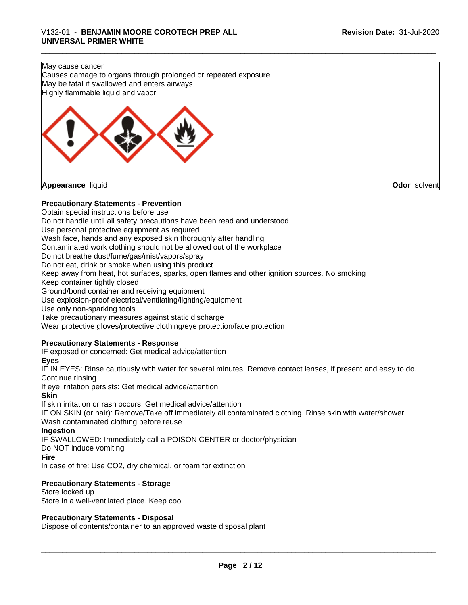#### May cause cancer

Causes damage to organs through prolonged or repeated exposure May be fatal if swallowed and enters airways Highly flammable liquid and vapor

**Appearance** liquid **Odor** solvent

#### **Precautionary Statements - Prevention**

Obtain special instructions before use Do not handle until all safety precautions have been read and understood Use personal protective equipment as required Wash face, hands and any exposed skin thoroughly after handling Contaminated work clothing should not be allowed out of the workplace Do not breathe dust/fume/gas/mist/vapors/spray Do not eat, drink or smoke when using this product Keep away from heat, hot surfaces, sparks, open flames and other ignition sources. No smoking Keep container tightly closed Ground/bond container and receiving equipment Use explosion-proof electrical/ventilating/lighting/equipment Use only non-sparking tools Take precautionary measures against static discharge Wear protective gloves/protective clothing/eye protection/face protection **Precautionary Statements - Response** IF exposed or concerned: Get medical advice/attention

#### **Eyes**

IF IN EYES: Rinse cautiously with water for several minutes. Remove contact lenses, if present and easy to do. Continue rinsing

If eye irritation persists: Get medical advice/attention

#### **Skin**

If skin irritation or rash occurs: Get medical advice/attention

IF ON SKIN (or hair): Remove/Take off immediately all contaminated clothing. Rinse skin with water/shower Wash contaminated clothing before reuse

#### **Ingestion**

IF SWALLOWED: Immediately call a POISON CENTER or doctor/physician

Do NOT induce vomiting

#### **Fire**

In case of fire: Use CO2, dry chemical, or foam for extinction

#### **Precautionary Statements - Storage**

Store locked up Store in a well-ventilated place. Keep cool

#### **Precautionary Statements - Disposal**

Dispose of contents/container to an approved waste disposal plant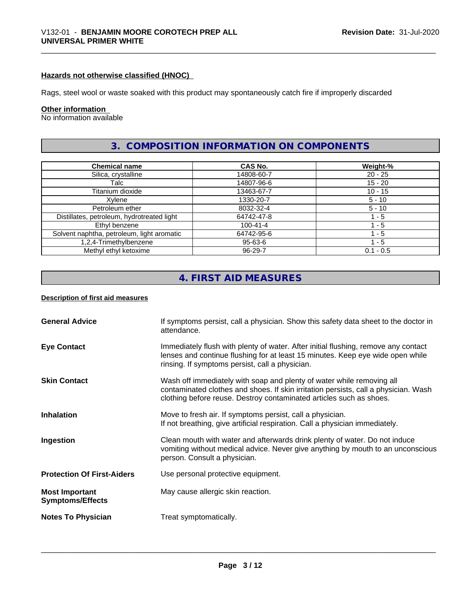#### **Hazards not otherwise classified (HNOC)**

Rags, steel wool or waste soaked with this product may spontaneously catch fire if improperly discarded

#### **Other information**

No information available

## **3. COMPOSITION INFORMATION ON COMPONENTS**

| <b>Chemical name</b>                       | <b>CAS No.</b> | Weight-%    |
|--------------------------------------------|----------------|-------------|
| Silica, crystalline                        | 14808-60-7     | $20 - 25$   |
| Talc                                       | 14807-96-6     | $15 - 20$   |
| Titanium dioxide                           | 13463-67-7     | $10 - 15$   |
| Xvlene                                     | 1330-20-7      | $5 - 10$    |
| Petroleum ether                            | 8032-32-4      | $5 - 10$    |
| Distillates, petroleum, hydrotreated light | 64742-47-8     | - 5         |
| Ethyl benzene                              | 100-41-4       | 1 - 5       |
| Solvent naphtha, petroleum, light aromatic | 64742-95-6     | $1 - 5$     |
| 1,2,4-Trimethylbenzene                     | 95-63-6        | - 5         |
| Methyl ethyl ketoxime                      | 96-29-7        | $0.1 - 0.5$ |

## **4. FIRST AID MEASURES**

#### **Description of first aid measures**

| <b>General Advice</b>                            | If symptoms persist, call a physician. Show this safety data sheet to the doctor in<br>attendance.                                                                                                                                  |
|--------------------------------------------------|-------------------------------------------------------------------------------------------------------------------------------------------------------------------------------------------------------------------------------------|
| <b>Eye Contact</b>                               | Immediately flush with plenty of water. After initial flushing, remove any contact<br>lenses and continue flushing for at least 15 minutes. Keep eye wide open while<br>rinsing. If symptoms persist, call a physician.             |
| <b>Skin Contact</b>                              | Wash off immediately with soap and plenty of water while removing all<br>contaminated clothes and shoes. If skin irritation persists, call a physician. Wash<br>clothing before reuse. Destroy contaminated articles such as shoes. |
| <b>Inhalation</b>                                | Move to fresh air. If symptoms persist, call a physician.<br>If not breathing, give artificial respiration. Call a physician immediately.                                                                                           |
| Ingestion                                        | Clean mouth with water and afterwards drink plenty of water. Do not induce<br>vomiting without medical advice. Never give anything by mouth to an unconscious<br>person. Consult a physician.                                       |
| <b>Protection Of First-Aiders</b>                | Use personal protective equipment.                                                                                                                                                                                                  |
| <b>Most Important</b><br><b>Symptoms/Effects</b> | May cause allergic skin reaction.                                                                                                                                                                                                   |
| <b>Notes To Physician</b>                        | Treat symptomatically.                                                                                                                                                                                                              |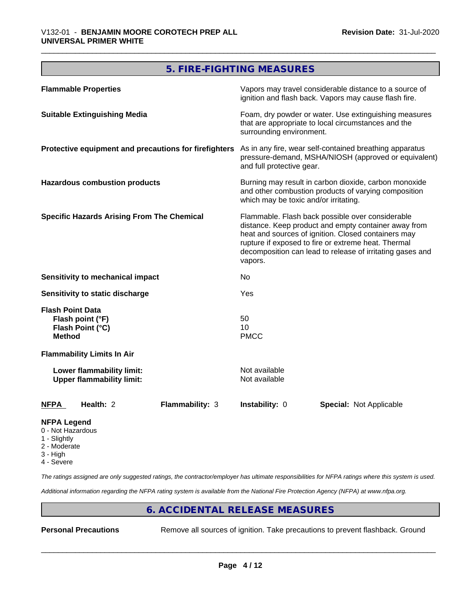## **5. FIRE-FIGHTING MEASURES**

|                                          | <b>Flammable Properties</b>                                   |                                                                                                                                                        |                                | Vapors may travel considerable distance to a source of<br>ignition and flash back. Vapors may cause flash fire.                                                                                                                                                                     |  |
|------------------------------------------|---------------------------------------------------------------|--------------------------------------------------------------------------------------------------------------------------------------------------------|--------------------------------|-------------------------------------------------------------------------------------------------------------------------------------------------------------------------------------------------------------------------------------------------------------------------------------|--|
|                                          | <b>Suitable Extinguishing Media</b>                           |                                                                                                                                                        | surrounding environment.       | Foam, dry powder or water. Use extinguishing measures<br>that are appropriate to local circumstances and the                                                                                                                                                                        |  |
|                                          |                                                               | Protective equipment and precautions for firefighters                                                                                                  | and full protective gear.      | As in any fire, wear self-contained breathing apparatus<br>pressure-demand, MSHA/NIOSH (approved or equivalent)                                                                                                                                                                     |  |
| <b>Hazardous combustion products</b>     |                                                               | Burning may result in carbon dioxide, carbon monoxide<br>and other combustion products of varying composition<br>which may be toxic and/or irritating. |                                |                                                                                                                                                                                                                                                                                     |  |
|                                          | <b>Specific Hazards Arising From The Chemical</b>             |                                                                                                                                                        | vapors.                        | Flammable. Flash back possible over considerable<br>distance. Keep product and empty container away from<br>heat and sources of ignition. Closed containers may<br>rupture if exposed to fire or extreme heat. Thermal<br>decomposition can lead to release of irritating gases and |  |
|                                          | <b>Sensitivity to mechanical impact</b>                       |                                                                                                                                                        | No                             |                                                                                                                                                                                                                                                                                     |  |
|                                          | Sensitivity to static discharge                               |                                                                                                                                                        | Yes                            |                                                                                                                                                                                                                                                                                     |  |
| <b>Flash Point Data</b><br><b>Method</b> | Flash point (°F)<br>Flash Point (°C)                          |                                                                                                                                                        | 50<br>10<br><b>PMCC</b>        |                                                                                                                                                                                                                                                                                     |  |
|                                          | <b>Flammability Limits In Air</b>                             |                                                                                                                                                        |                                |                                                                                                                                                                                                                                                                                     |  |
|                                          | Lower flammability limit:<br><b>Upper flammability limit:</b> |                                                                                                                                                        | Not available<br>Not available |                                                                                                                                                                                                                                                                                     |  |
| <b>NFPA</b>                              | Health: 2                                                     | Flammability: 3                                                                                                                                        | Instability: 0                 | <b>Special: Not Applicable</b>                                                                                                                                                                                                                                                      |  |
| <b>NFPA Legend</b><br>0 - Not Hazardous  |                                                               |                                                                                                                                                        |                                |                                                                                                                                                                                                                                                                                     |  |

- 1 Slightly
- 2 Moderate
- 3 High
- 4 Severe

*The ratings assigned are only suggested ratings, the contractor/employer has ultimate responsibilities for NFPA ratings where this system is used.*

*Additional information regarding the NFPA rating system is available from the National Fire Protection Agency (NFPA) at www.nfpa.org.*

## **6. ACCIDENTAL RELEASE MEASURES**

**Personal Precautions** Remove all sources of ignition. Take precautions to prevent flashback. Ground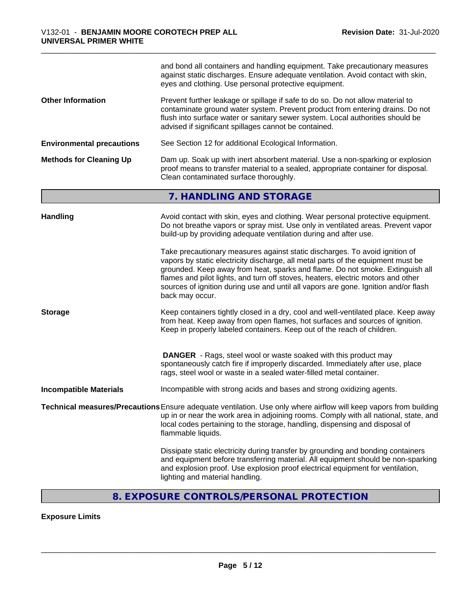|                                  | and bond all containers and handling equipment. Take precautionary measures<br>against static discharges. Ensure adequate ventilation. Avoid contact with skin,<br>eyes and clothing. Use personal protective equipment.                                                                                                                                                                                                                       |
|----------------------------------|------------------------------------------------------------------------------------------------------------------------------------------------------------------------------------------------------------------------------------------------------------------------------------------------------------------------------------------------------------------------------------------------------------------------------------------------|
| <b>Other Information</b>         | Prevent further leakage or spillage if safe to do so. Do not allow material to<br>contaminate ground water system. Prevent product from entering drains. Do not<br>flush into surface water or sanitary sewer system. Local authorities should be<br>advised if significant spillages cannot be contained.                                                                                                                                     |
| <b>Environmental precautions</b> | See Section 12 for additional Ecological Information.                                                                                                                                                                                                                                                                                                                                                                                          |
| <b>Methods for Cleaning Up</b>   | Dam up. Soak up with inert absorbent material. Use a non-sparking or explosion<br>proof means to transfer material to a sealed, appropriate container for disposal.<br>Clean contaminated surface thoroughly.                                                                                                                                                                                                                                  |
|                                  | 7. HANDLING AND STORAGE                                                                                                                                                                                                                                                                                                                                                                                                                        |
| <b>Handling</b>                  | Avoid contact with skin, eyes and clothing. Wear personal protective equipment.<br>Do not breathe vapors or spray mist. Use only in ventilated areas. Prevent vapor<br>build-up by providing adequate ventilation during and after use.                                                                                                                                                                                                        |
|                                  | Take precautionary measures against static discharges. To avoid ignition of<br>vapors by static electricity discharge, all metal parts of the equipment must be<br>grounded. Keep away from heat, sparks and flame. Do not smoke. Extinguish all<br>flames and pilot lights, and turn off stoves, heaters, electric motors and other<br>sources of ignition during use and until all vapors are gone. Ignition and/or flash<br>back may occur. |
| <b>Storage</b>                   | Keep containers tightly closed in a dry, cool and well-ventilated place. Keep away<br>from heat. Keep away from open flames, hot surfaces and sources of ignition.<br>Keep in properly labeled containers. Keep out of the reach of children.                                                                                                                                                                                                  |
|                                  | <b>DANGER</b> - Rags, steel wool or waste soaked with this product may<br>spontaneously catch fire if improperly discarded. Immediately after use, place<br>rags, steel wool or waste in a sealed water-filled metal container.                                                                                                                                                                                                                |
| <b>Incompatible Materials</b>    | Incompatible with strong acids and bases and strong oxidizing agents.                                                                                                                                                                                                                                                                                                                                                                          |
|                                  | Technical measures/Precautions Ensure adequate ventilation. Use only where airflow will keep vapors from building<br>up in or near the work area in adjoining rooms. Comply with all national, state, and<br>local codes pertaining to the storage, handling, dispensing and disposal of<br>flammable liquids.                                                                                                                                 |
|                                  | Dissipate static electricity during transfer by grounding and bonding containers<br>and equipment before transferring material. All equipment should be non-sparking<br>and explosion proof. Use explosion proof electrical equipment for ventilation,<br>lighting and material handling.                                                                                                                                                      |

## **8. EXPOSURE CONTROLS/PERSONAL PROTECTION**

**Exposure Limits**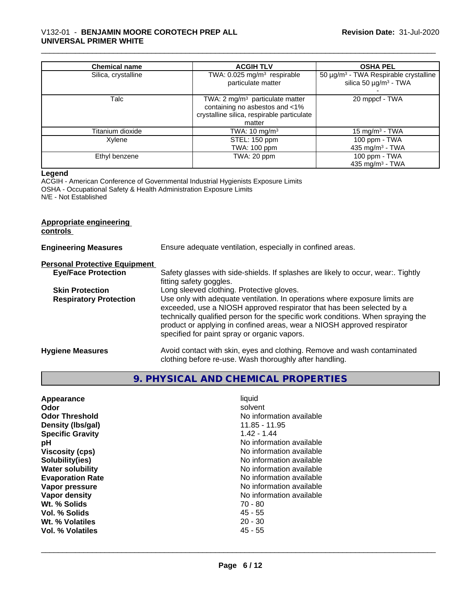| <b>Chemical name</b> | <b>ACGIH TLV</b>                                                                                                                     | <b>OSHA PEL</b>                                                                             |
|----------------------|--------------------------------------------------------------------------------------------------------------------------------------|---------------------------------------------------------------------------------------------|
| Silica, crystalline  | TWA: 0.025 mg/m <sup>3</sup> respirable<br>particulate matter                                                                        | 50 µg/m <sup>3</sup> - TWA Respirable crystalline<br>silica 50 $\mu$ g/m <sup>3</sup> - TWA |
| Talc                 | TWA: $2 \text{ mg/m}^3$ particulate matter<br>containing no asbestos and <1%<br>crystalline silica, respirable particulate<br>matter | 20 mppcf - TWA                                                                              |
| Titanium dioxide     | TWA: $10 \text{ mg/m}^3$                                                                                                             | 15 mg/m <sup>3</sup> - TWA                                                                  |
| Xylene               | STEL: 150 ppm<br>TWA: 100 ppm                                                                                                        | 100 ppm - TWA<br>435 mg/m <sup>3</sup> - TWA                                                |
| Ethyl benzene        | TWA: 20 ppm                                                                                                                          | 100 ppm - TWA<br>435 mg/m $3$ - TWA                                                         |

#### **Legend**

ACGIH - American Conference of Governmental Industrial Hygienists Exposure Limits OSHA - Occupational Safety & Health Administration Exposure Limits N/E - Not Established

#### **Appropriate engineering controls**

| <b>Engineering Measures</b>          | Ensure adequate ventilation, especially in confined areas.                                                                                                                                                                                                                                                                                                          |
|--------------------------------------|---------------------------------------------------------------------------------------------------------------------------------------------------------------------------------------------------------------------------------------------------------------------------------------------------------------------------------------------------------------------|
| <b>Personal Protective Equipment</b> |                                                                                                                                                                                                                                                                                                                                                                     |
| <b>Eye/Face Protection</b>           | Safety glasses with side-shields. If splashes are likely to occur, wear:. Tightly<br>fitting safety goggles.                                                                                                                                                                                                                                                        |
| <b>Skin Protection</b>               | Long sleeved clothing. Protective gloves.                                                                                                                                                                                                                                                                                                                           |
| <b>Respiratory Protection</b>        | Use only with adequate ventilation. In operations where exposure limits are<br>exceeded, use a NIOSH approved respirator that has been selected by a<br>technically qualified person for the specific work conditions. When spraying the<br>product or applying in confined areas, wear a NIOSH approved respirator<br>specified for paint spray or organic vapors. |
| <b>Hygiene Measures</b>              | Avoid contact with skin, eyes and clothing. Remove and wash contaminated<br>clothing before re-use. Wash thoroughly after handling.                                                                                                                                                                                                                                 |

## **9. PHYSICAL AND CHEMICAL PROPERTIES**

| Appearance<br>Odor<br><b>Odor Threshold</b><br>Density (Ibs/gal)<br><b>Specific Gravity</b><br>рH<br>Viscosity (cps)<br>Solubility(ies)<br><b>Water solubility</b><br><b>Evaporation Rate</b> | liquid<br>solvent<br>No information available<br>11.85 - 11.95<br>$1.42 - 1.44$<br>No information available<br>No information available<br>No information available<br>No information available<br>No information available |
|-----------------------------------------------------------------------------------------------------------------------------------------------------------------------------------------------|-----------------------------------------------------------------------------------------------------------------------------------------------------------------------------------------------------------------------------|
|                                                                                                                                                                                               |                                                                                                                                                                                                                             |
|                                                                                                                                                                                               |                                                                                                                                                                                                                             |
|                                                                                                                                                                                               |                                                                                                                                                                                                                             |
|                                                                                                                                                                                               |                                                                                                                                                                                                                             |
| Vapor pressure                                                                                                                                                                                | No information available                                                                                                                                                                                                    |
| Vapor density                                                                                                                                                                                 | No information available                                                                                                                                                                                                    |
| Wt. % Solids                                                                                                                                                                                  | 70 - 80                                                                                                                                                                                                                     |
| Vol. % Solids                                                                                                                                                                                 | 45 - 55                                                                                                                                                                                                                     |
| Wt. % Volatiles                                                                                                                                                                               | $20 - 30$                                                                                                                                                                                                                   |
| Vol. % Volatiles                                                                                                                                                                              | 45 - 55                                                                                                                                                                                                                     |
|                                                                                                                                                                                               |                                                                                                                                                                                                                             |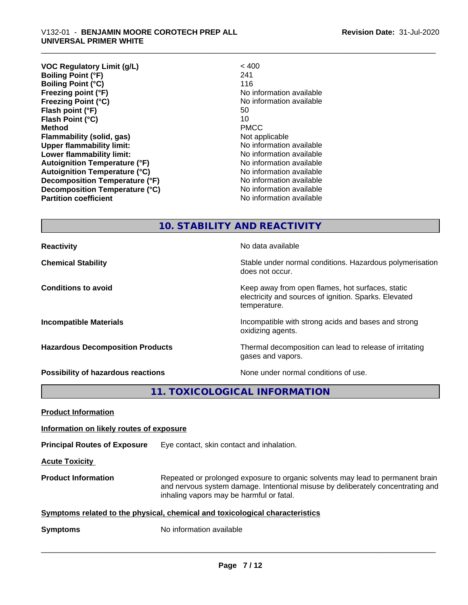**VOC Regulatory Limit (g/L)** < 400 **Boiling Point (°F)** 241 **Boiling Point**  $(°C)$  116 **Freezing point (°F)** No information available **Freezing Point (°C)** The Control of the Monometer of Noinformation available **Flash point (°F)** 50 **Flash Point (°C)** 10 **Method** PMCC **Flammability (solid, gas)** Not applicable **Upper flammability limit:** No information available **Lower flammability limit:**  $\qquad \qquad \qquad$  No information available **Autoignition Temperature (°F)** No information available **Autoignition Temperature (°C)**<br> **Decomposition Temperature (°F)** No information available **Decomposition Temperature (°F) Decomposition Temperature (°C)** No information available **Partition coefficient Contract Contract Contract Contract Contract Contract Contract Contract Contract Contract Contract Contract Contract Contract Contract Contract Contract Contract Contract Contract Contract Contract** 

## **10. STABILITY AND REACTIVITY**

does not occur.

temperature.

oxidizing agents.

gases and vapors.

electricity and sources of ignition. Sparks. Elevated

**Reactivity No data available No data available Chemical Stability Stability** Stable under normal conditions. Hazardous polymerisation

**Conditions to avoid Keep away from open flames, hot surfaces, static conditions to avoid** 

**Incompatible Materials Incompatible with strong acids and bases and strong** 

**Hazardous Decomposition Products** Thermal decomposition can lead to release of irritating

**Possibility of hazardous reactions** None under normal conditions of use.

**11. TOXICOLOGICAL INFORMATION**

**Product Information Information on likely routes of exposure Principal Routes of Exposure** Eye contact, skin contact and inhalation. **Acute Toxicity** 

**Product Information** Repeated or prolonged exposure to organic solvents may lead to permanent brain and nervous system damage. Intentional misuse by deliberately concentrating and inhaling vapors may be harmful or fatal.

 $\overline{\phantom{a}}$  ,  $\overline{\phantom{a}}$  ,  $\overline{\phantom{a}}$  ,  $\overline{\phantom{a}}$  ,  $\overline{\phantom{a}}$  ,  $\overline{\phantom{a}}$  ,  $\overline{\phantom{a}}$  ,  $\overline{\phantom{a}}$  ,  $\overline{\phantom{a}}$  ,  $\overline{\phantom{a}}$  ,  $\overline{\phantom{a}}$  ,  $\overline{\phantom{a}}$  ,  $\overline{\phantom{a}}$  ,  $\overline{\phantom{a}}$  ,  $\overline{\phantom{a}}$  ,  $\overline{\phantom{a}}$ 

**Symptoms related to the physical,chemical and toxicological characteristics**

**Symptoms** No information available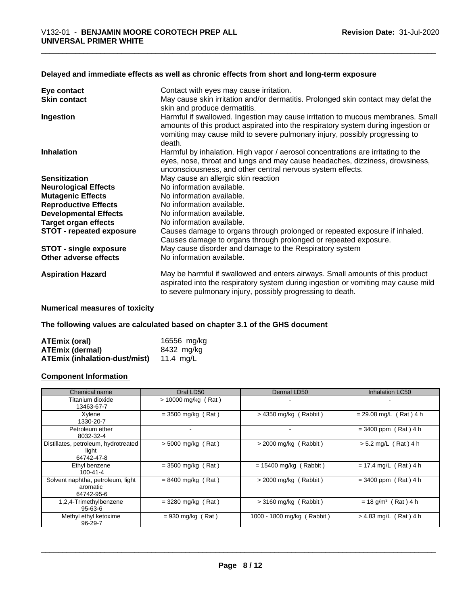#### **Delayed and immediate effects as well as chronic effects from short and long-term exposure**

| Eye contact                     | Contact with eyes may cause irritation.                                                                                                                                                                                                                       |
|---------------------------------|---------------------------------------------------------------------------------------------------------------------------------------------------------------------------------------------------------------------------------------------------------------|
| <b>Skin contact</b>             | May cause skin irritation and/or dermatitis. Prolonged skin contact may defat the<br>skin and produce dermatitis.                                                                                                                                             |
| Ingestion                       | Harmful if swallowed. Ingestion may cause irritation to mucous membranes. Small<br>amounts of this product aspirated into the respiratory system during ingestion or<br>vomiting may cause mild to severe pulmonary injury, possibly progressing to<br>death. |
| <b>Inhalation</b>               | Harmful by inhalation. High vapor / aerosol concentrations are irritating to the<br>eyes, nose, throat and lungs and may cause headaches, dizziness, drowsiness,<br>unconsciousness, and other central nervous system effects.                                |
| <b>Sensitization</b>            | May cause an allergic skin reaction                                                                                                                                                                                                                           |
| <b>Neurological Effects</b>     | No information available.                                                                                                                                                                                                                                     |
| <b>Mutagenic Effects</b>        | No information available.                                                                                                                                                                                                                                     |
| <b>Reproductive Effects</b>     | No information available.                                                                                                                                                                                                                                     |
| <b>Developmental Effects</b>    | No information available.                                                                                                                                                                                                                                     |
| <b>Target organ effects</b>     | No information available.                                                                                                                                                                                                                                     |
| <b>STOT - repeated exposure</b> | Causes damage to organs through prolonged or repeated exposure if inhaled.<br>Causes damage to organs through prolonged or repeated exposure.                                                                                                                 |
| STOT - single exposure          | May cause disorder and damage to the Respiratory system                                                                                                                                                                                                       |
| Other adverse effects           | No information available.                                                                                                                                                                                                                                     |
| <b>Aspiration Hazard</b>        | May be harmful if swallowed and enters airways. Small amounts of this product<br>aspirated into the respiratory system during ingestion or vomiting may cause mild<br>to severe pulmonary injury, possibly progressing to death.                              |

#### **Numerical measures of toxicity**

**The following values are calculated based on chapter 3.1 of the GHS document**

| <b>ATEmix (oral)</b>                      | 16556 mg/kg |
|-------------------------------------------|-------------|
| <b>ATEmix (dermal)</b>                    | 8432 mg/ka  |
| $ATEmix$ (inhalation-dust/mist) 11.4 mg/L |             |

### **Component Information**

| Chemical name                                               | Oral LD50             | Dermal LD50                | <b>Inhalation LC50</b>            |
|-------------------------------------------------------------|-----------------------|----------------------------|-----------------------------------|
| Titanium dioxide<br>13463-67-7                              | $> 10000$ mg/kg (Rat) |                            | ۰                                 |
| Xylene<br>1330-20-7                                         | $= 3500$ mg/kg (Rat)  | $>$ 4350 mg/kg (Rabbit)    | $= 29.08$ mg/L (Rat) 4 h          |
| Petroleum ether<br>8032-32-4                                | ۰                     |                            | $= 3400$ ppm (Rat) 4 h            |
| Distillates, petroleum, hydrotreated<br>light<br>64742-47-8 | $> 5000$ mg/kg (Rat)  | $>$ 2000 mg/kg (Rabbit)    | $> 5.2$ mg/L (Rat) 4 h            |
| Ethyl benzene<br>$100 - 41 - 4$                             | $= 3500$ mg/kg (Rat)  | $= 15400$ mg/kg (Rabbit)   | $= 17.4$ mg/L (Rat) 4 h           |
| Solvent naphtha, petroleum, light<br>aromatic<br>64742-95-6 | $= 8400$ mg/kg (Rat)  | $>$ 2000 mg/kg (Rabbit)    | $= 3400$ ppm (Rat) 4 h            |
| 1,2,4-Trimethylbenzene<br>$95 - 63 - 6$                     | $= 3280$ mg/kg (Rat)  | $>$ 3160 mg/kg (Rabbit)    | $= 18$ g/m <sup>3</sup> (Rat) 4 h |
| Methyl ethyl ketoxime<br>96-29-7                            | $= 930$ mg/kg (Rat)   | 1000 - 1800 mg/kg (Rabbit) | $> 4.83$ mg/L (Rat) 4 h           |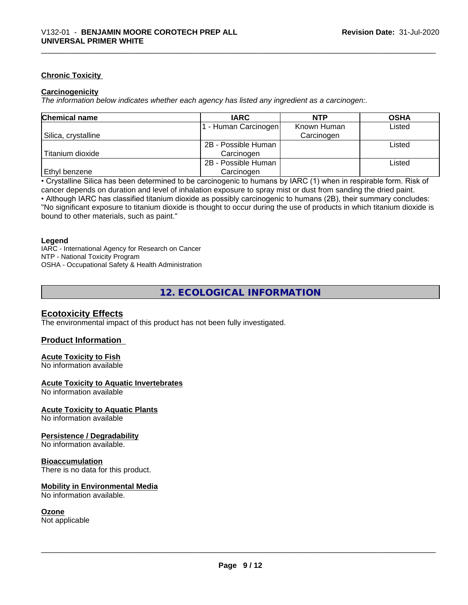#### **Chronic Toxicity**

#### **Carcinogenicity**

*The information below indicateswhether each agency has listed any ingredient as a carcinogen:.*

| <b>Chemical name</b> | <b>IARC</b>          | <b>NTP</b>  | <b>OSHA</b> |
|----------------------|----------------------|-------------|-------------|
|                      | 1 - Human Carcinogen | Known Human | Listed      |
| Silica, crystalline  |                      | Carcinogen  |             |
|                      | 2B - Possible Human  |             | Listed      |
| Titanium dioxide     | Carcinogen           |             |             |
|                      | 2B - Possible Human  |             | Listed      |
| Ethyl benzene        | Carcinogen           |             |             |

• Crystalline Silica has been determined to be carcinogenic to humans by IARC (1) when in respirable form. Risk of cancer depends on duration and level of inhalation exposure to spray mist or dust from sanding the dried paint.• Although IARC has classified titanium dioxide as possibly carcinogenic to humans (2B), their summary concludes: "No significant exposure to titanium dioxide is thought to occur during the use of products in which titanium dioxide is bound to other materials, such as paint."

#### **Legend**

IARC - International Agency for Research on Cancer NTP - National Toxicity Program OSHA - Occupational Safety & Health Administration

## **12. ECOLOGICAL INFORMATION**

#### **Ecotoxicity Effects**

The environmental impact of this product has not been fully investigated.

#### **Product Information**

#### **Acute Toxicity to Fish**

No information available

#### **Acute Toxicity to Aquatic Invertebrates**

No information available

#### **Acute Toxicity to Aquatic Plants**

No information available

#### **Persistence / Degradability**

No information available.

#### **Bioaccumulation**

There is no data for this product.

#### **Mobility in Environmental Media**

No information available.

#### **Ozone**

Not applicable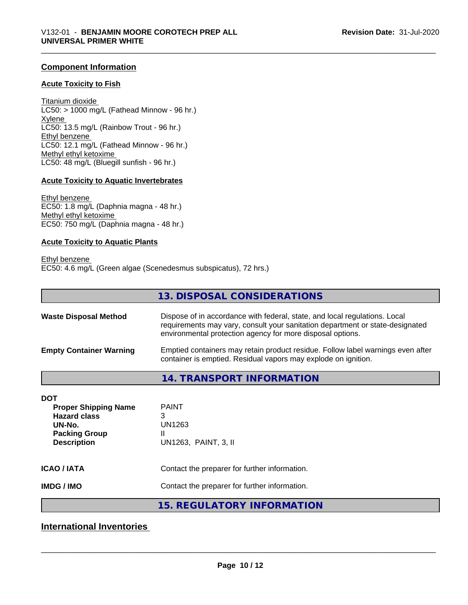### **Component Information**

#### **Acute Toxicity to Fish**

Titanium dioxide  $LC50: > 1000$  mg/L (Fathead Minnow - 96 hr.) Xylene LC50: 13.5 mg/L (Rainbow Trout - 96 hr.) Ethyl benzene LC50: 12.1 mg/L (Fathead Minnow - 96 hr.) Methyl ethyl ketoxime LC50: 48 mg/L (Bluegill sunfish - 96 hr.)

#### **Acute Toxicity to Aquatic Invertebrates**

Ethyl benzene EC50: 1.8 mg/L (Daphnia magna - 48 hr.) Methyl ethyl ketoxime EC50: 750 mg/L (Daphnia magna - 48 hr.)

#### **Acute Toxicity to Aquatic Plants**

Ethyl benzene EC50: 4.6 mg/L (Green algae (Scenedesmus subspicatus), 72 hrs.)

|                                                                                                                          | 13. DISPOSAL CONSIDERATIONS                                                                                                                                                                                               |  |
|--------------------------------------------------------------------------------------------------------------------------|---------------------------------------------------------------------------------------------------------------------------------------------------------------------------------------------------------------------------|--|
| <b>Waste Disposal Method</b>                                                                                             | Dispose of in accordance with federal, state, and local regulations. Local<br>requirements may vary, consult your sanitation department or state-designated<br>environmental protection agency for more disposal options. |  |
| <b>Empty Container Warning</b>                                                                                           | Emptied containers may retain product residue. Follow label warnings even after<br>container is emptied. Residual vapors may explode on ignition.                                                                         |  |
|                                                                                                                          | <b>14. TRANSPORT INFORMATION</b>                                                                                                                                                                                          |  |
| <b>DOT</b><br><b>Proper Shipping Name</b><br><b>Hazard class</b><br>UN-No.<br><b>Packing Group</b><br><b>Description</b> | <b>PAINT</b><br>3<br>UN1263<br>UN1263, PAINT, 3, II                                                                                                                                                                       |  |
| <b>ICAO / IATA</b>                                                                                                       | Contact the preparer for further information.                                                                                                                                                                             |  |
| <b>IMDG / IMO</b>                                                                                                        | Contact the preparer for further information.                                                                                                                                                                             |  |
|                                                                                                                          | <b>15. REGULATORY INFORMATION</b>                                                                                                                                                                                         |  |

## **International Inventories**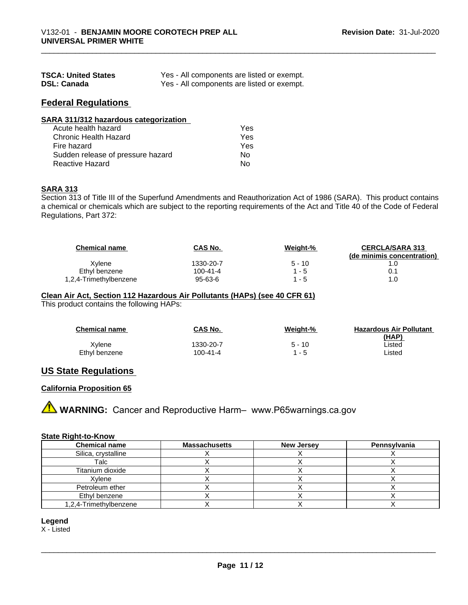| <b>TSCA: United States</b> | Yes - All components are listed or exempt. |
|----------------------------|--------------------------------------------|
| <b>DSL: Canada</b>         | Yes - All components are listed or exempt. |

## **Federal Regulations**

| SARA 311/312 hazardous categorization |  |
|---------------------------------------|--|
|                                       |  |

| Acute health hazard               | Yes |
|-----------------------------------|-----|
| Chronic Health Hazard             | Yes |
| Fire hazard                       | Yes |
| Sudden release of pressure hazard | Nο  |
| Reactive Hazard                   | N٥  |

#### **SARA 313**

Section 313 of Title III of the Superfund Amendments and Reauthorization Act of 1986 (SARA). This product contains a chemical or chemicals which are subject to the reporting requirements of the Act and Title 40 of the Code of Federal Regulations, Part 372:

| <b>Chemical name</b>   | CAS No.   | Weight-% | <b>CERCLA/SARA 313</b><br>(de minimis concentration) |
|------------------------|-----------|----------|------------------------------------------------------|
| Xylene                 | 1330-20-7 | $5 - 10$ |                                                      |
| Ethyl benzene          | 100-41-4  | 1 - 5    | 0.1                                                  |
| 1,2,4-Trimethylbenzene | 95-63-6   | 1 - 5    | 1.0                                                  |

#### **Clean Air Act,Section 112 Hazardous Air Pollutants (HAPs) (see 40 CFR 61)**

This product contains the following HAPs:

| <b>Chemical name</b> | CAS No.   | Weight-% | <b>Hazardous Air Pollutant</b><br>(HAP) |
|----------------------|-----------|----------|-----------------------------------------|
| Xvlene               | 1330-20-7 | 5 - 10   | ∟isted                                  |
| Ethyl benzene        | 100-41-4  | l - 5    | ∟isted                                  |

### **US State Regulations**

#### **California Proposition 65**

**AVIMARNING:** Cancer and Reproductive Harm– www.P65warnings.ca.gov

#### **State Right-to-Know**

| <b>Chemical name</b>   | <b>Massachusetts</b> | <b>New Jersey</b> | Pennsylvania |
|------------------------|----------------------|-------------------|--------------|
| Silica, crystalline    |                      |                   |              |
| Talc                   |                      |                   |              |
| Titanium dioxide       |                      |                   |              |
| Xvlene                 |                      |                   |              |
| Petroleum ether        |                      |                   |              |
| Ethyl benzene          |                      |                   |              |
| 1,2,4-Trimethylbenzene |                      |                   |              |

#### **Legend**

X - Listed